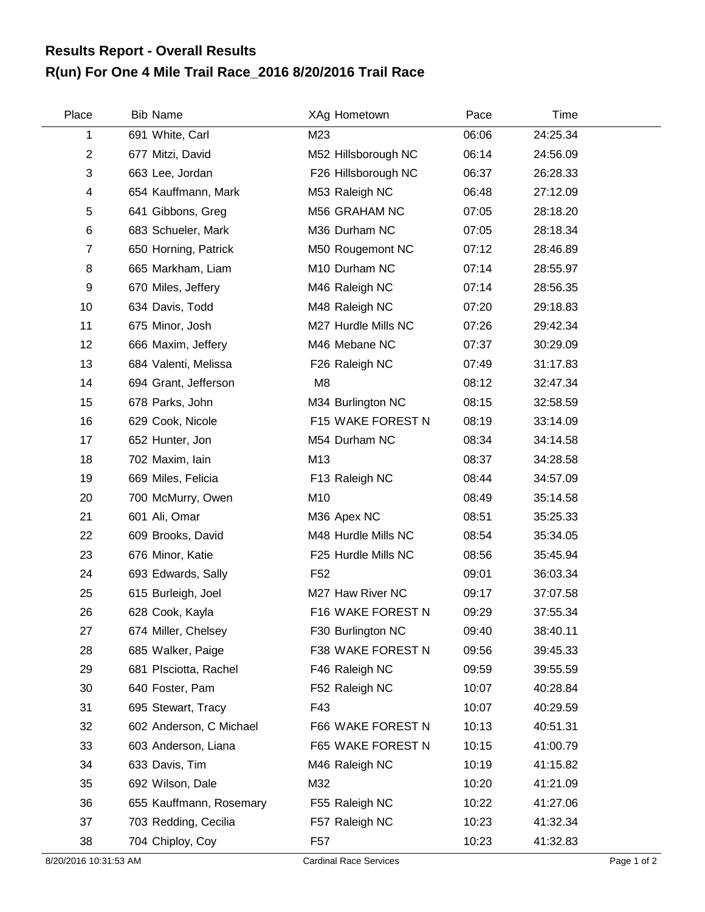## **R(un) For One 4 Mile Trail Race\_2016 8/20/2016 Trail Race Results Report - Overall Results**

| Place          | <b>Bib Name</b>         | XAg Hometown        | Pace  | Time     |  |
|----------------|-------------------------|---------------------|-------|----------|--|
| 1              | 691 White, Carl         | M23                 | 06:06 | 24:25.34 |  |
| $\overline{2}$ | 677 Mitzi, David        | M52 Hillsborough NC | 06:14 | 24:56.09 |  |
| 3              | 663 Lee, Jordan         | F26 Hillsborough NC | 06:37 | 26:28.33 |  |
| 4              | 654 Kauffmann, Mark     | M53 Raleigh NC      | 06:48 | 27:12.09 |  |
| 5              | 641 Gibbons, Greg       | M56 GRAHAM NC       | 07:05 | 28:18.20 |  |
| 6              | 683 Schueler, Mark      | M36 Durham NC       | 07:05 | 28:18.34 |  |
| $\overline{7}$ | 650 Horning, Patrick    | M50 Rougemont NC    | 07:12 | 28:46.89 |  |
| 8              | 665 Markham, Liam       | M10 Durham NC       | 07:14 | 28:55.97 |  |
| 9              | 670 Miles, Jeffery      | M46 Raleigh NC      | 07:14 | 28:56.35 |  |
| 10             | 634 Davis, Todd         | M48 Raleigh NC      | 07:20 | 29:18.83 |  |
| 11             | 675 Minor, Josh         | M27 Hurdle Mills NC | 07:26 | 29:42.34 |  |
| 12             | 666 Maxim, Jeffery      | M46 Mebane NC       | 07:37 | 30:29.09 |  |
| 13             | 684 Valenti, Melissa    | F26 Raleigh NC      | 07:49 | 31:17.83 |  |
| 14             | 694 Grant, Jefferson    | M <sub>8</sub>      | 08:12 | 32:47.34 |  |
| 15             | 678 Parks, John         | M34 Burlington NC   | 08:15 | 32:58.59 |  |
| 16             | 629 Cook, Nicole        | F15 WAKE FOREST N   | 08:19 | 33:14.09 |  |
| 17             | 652 Hunter, Jon         | M54 Durham NC       | 08:34 | 34:14.58 |  |
| 18             | 702 Maxim, Iain         | M13                 | 08:37 | 34:28.58 |  |
| 19             | 669 Miles, Felicia      | F13 Raleigh NC      | 08:44 | 34:57.09 |  |
| 20             | 700 McMurry, Owen       | M10                 | 08:49 | 35:14.58 |  |
| 21             | 601 Ali, Omar           | M36 Apex NC         | 08:51 | 35:25.33 |  |
| 22             | 609 Brooks, David       | M48 Hurdle Mills NC | 08:54 | 35:34.05 |  |
| 23             | 676 Minor, Katie        | F25 Hurdle Mills NC | 08:56 | 35:45.94 |  |
| 24             | 693 Edwards, Sally      | F <sub>52</sub>     | 09:01 | 36:03.34 |  |
| 25             | 615 Burleigh, Joel      | M27 Haw River NC    | 09:17 | 37:07.58 |  |
| 26             | 628 Cook, Kayla         | F16 WAKE FOREST N   | 09:29 | 37:55.34 |  |
| 27             | 674 Miller, Chelsey     | F30 Burlington NC   | 09:40 | 38:40.11 |  |
| 28             | 685 Walker, Paige       | F38 WAKE FOREST N   | 09:56 | 39:45.33 |  |
| 29             | 681 Plsciotta, Rachel   | F46 Raleigh NC      | 09:59 | 39:55.59 |  |
| 30             | 640 Foster, Pam         | F52 Raleigh NC      | 10:07 | 40:28.84 |  |
| 31             | 695 Stewart, Tracy      | F43                 | 10:07 | 40:29.59 |  |
| 32             | 602 Anderson, C Michael | F66 WAKE FOREST N   | 10:13 | 40:51.31 |  |
| 33             | 603 Anderson, Liana     | F65 WAKE FOREST N   | 10:15 | 41:00.79 |  |
| 34             | 633 Davis, Tim          | M46 Raleigh NC      | 10:19 | 41:15.82 |  |
| 35             | 692 Wilson, Dale        | M32                 | 10:20 | 41:21.09 |  |
| 36             | 655 Kauffmann, Rosemary | F55 Raleigh NC      | 10:22 | 41:27.06 |  |
| 37             | 703 Redding, Cecilia    | F57 Raleigh NC      | 10:23 | 41:32.34 |  |
| 38             | 704 Chiploy, Coy        | F <sub>57</sub>     | 10:23 | 41:32.83 |  |